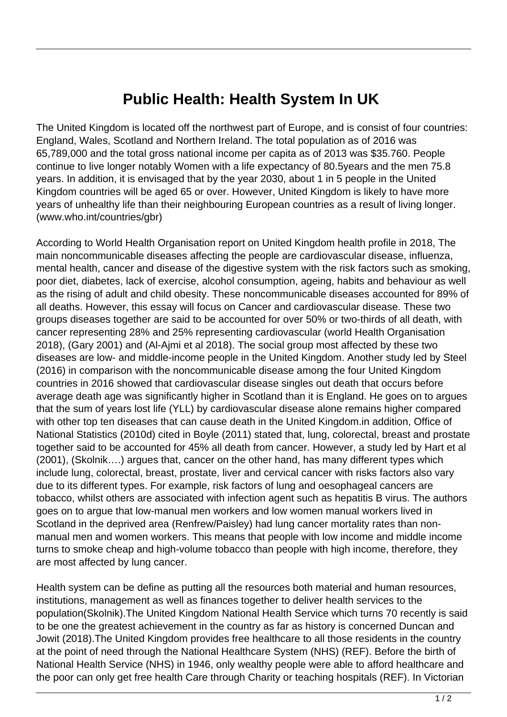## **Public Health: Health System In UK**

The United Kingdom is located off the northwest part of Europe, and is consist of four countries: England, Wales, Scotland and Northern Ireland. The total population as of 2016 was 65,789,000 and the total gross national income per capita as of 2013 was \$35.760. People continue to live longer notably Women with a life expectancy of 80.5years and the men 75.8 years. In addition, it is envisaged that by the year 2030, about 1 in 5 people in the United Kingdom countries will be aged 65 or over. However, United Kingdom is likely to have more years of unhealthy life than their neighbouring European countries as a result of living longer. (www.who.int/countries/gbr)

According to World Health Organisation report on United Kingdom health profile in 2018, The main noncommunicable diseases affecting the people are cardiovascular disease, influenza, mental health, cancer and disease of the digestive system with the risk factors such as smoking, poor diet, diabetes, lack of exercise, alcohol consumption, ageing, habits and behaviour as well as the rising of adult and child obesity. These noncommunicable diseases accounted for 89% of all deaths. However, this essay will focus on Cancer and cardiovascular disease. These two groups diseases together are said to be accounted for over 50% or two-thirds of all death, with cancer representing 28% and 25% representing cardiovascular (world Health Organisation 2018), (Gary 2001) and (Al-Ajmi et al 2018). The social group most affected by these two diseases are low- and middle-income people in the United Kingdom. Another study led by Steel (2016) in comparison with the noncommunicable disease among the four United Kingdom countries in 2016 showed that cardiovascular disease singles out death that occurs before average death age was significantly higher in Scotland than it is England. He goes on to argues that the sum of years lost life (YLL) by cardiovascular disease alone remains higher compared with other top ten diseases that can cause death in the United Kingdom.in addition, Office of National Statistics (2010d) cited in Boyle (2011) stated that, lung, colorectal, breast and prostate together said to be accounted for 45% all death from cancer. However, a study led by Hart et al (2001), (Skolnik….) argues that, cancer on the other hand, has many different types which include lung, colorectal, breast, prostate, liver and cervical cancer with risks factors also vary due to its different types. For example, risk factors of lung and oesophageal cancers are tobacco, whilst others are associated with infection agent such as hepatitis B virus. The authors goes on to argue that low-manual men workers and low women manual workers lived in Scotland in the deprived area (Renfrew/Paisley) had lung cancer mortality rates than nonmanual men and women workers. This means that people with low income and middle income turns to smoke cheap and high-volume tobacco than people with high income, therefore, they are most affected by lung cancer.

Health system can be define as putting all the resources both material and human resources, institutions, management as well as finances together to deliver health services to the population(Skolnik).The United Kingdom National Health Service which turns 70 recently is said to be one the greatest achievement in the country as far as history is concerned Duncan and Jowit (2018).The United Kingdom provides free healthcare to all those residents in the country at the point of need through the National Healthcare System (NHS) (REF). Before the birth of National Health Service (NHS) in 1946, only wealthy people were able to afford healthcare and the poor can only get free health Care through Charity or teaching hospitals (REF). In Victorian